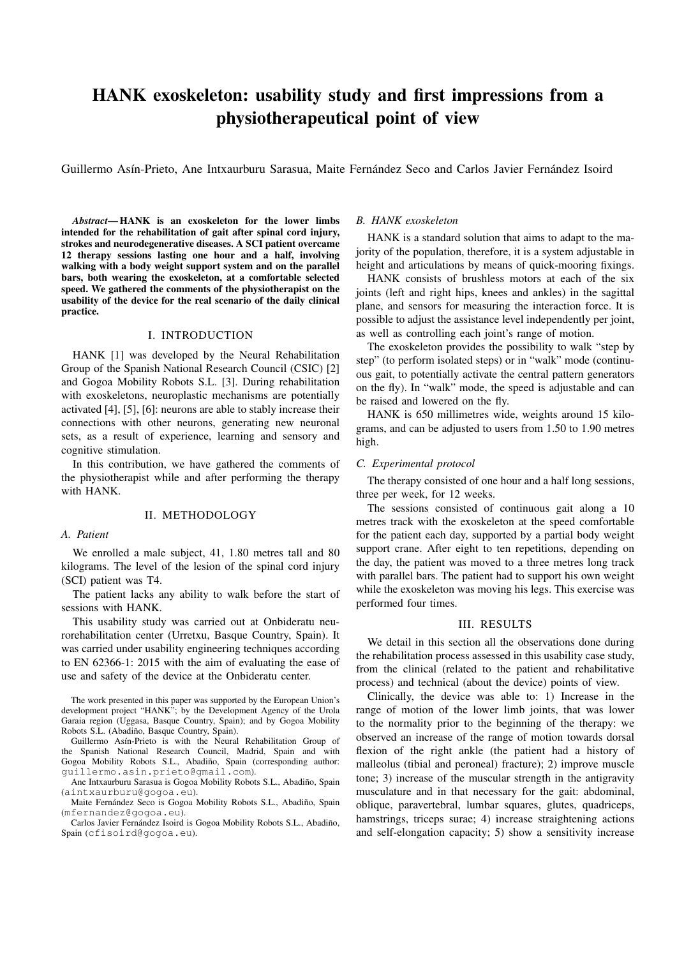# HANK exoskeleton: usability study and first impressions from a physiotherapeutical point of view

Guillermo Asín-Prieto, Ane Intxaurburu Sarasua, Maite Fernández Seco and Carlos Javier Fernández Isoird

*Abstract*— HANK is an exoskeleton for the lower limbs intended for the rehabilitation of gait after spinal cord injury, strokes and neurodegenerative diseases. A SCI patient overcame 12 therapy sessions lasting one hour and a half, involving walking with a body weight support system and on the parallel bars, both wearing the exoskeleton, at a comfortable selected speed. We gathered the comments of the physiotherapist on the usability of the device for the real scenario of the daily clinical practice.

# I. INTRODUCTION

HANK [1] was developed by the Neural Rehabilitation Group of the Spanish National Research Council (CSIC) [2] and Gogoa Mobility Robots S.L. [3]. During rehabilitation with exoskeletons, neuroplastic mechanisms are potentially activated [4], [5], [6]: neurons are able to stably increase their connections with other neurons, generating new neuronal sets, as a result of experience, learning and sensory and cognitive stimulation.

In this contribution, we have gathered the comments of the physiotherapist while and after performing the therapy with HANK.

# II. METHODOLOGY

## *A. Patient*

We enrolled a male subject, 41, 1.80 metres tall and 80 kilograms. The level of the lesion of the spinal cord injury (SCI) patient was T4.

The patient lacks any ability to walk before the start of sessions with HANK.

This usability study was carried out at Onbideratu neurorehabilitation center (Urretxu, Basque Country, Spain). It was carried under usability engineering techniques according to EN 62366-1: 2015 with the aim of evaluating the ease of use and safety of the device at the Onbideratu center.

The work presented in this paper was supported by the European Union's development project "HANK"; by the Development Agency of the Urola Garaia region (Uggasa, Basque Country, Spain); and by Gogoa Mobility Robots S.L. (Abadiño, Basque Country, Spain).

Guillermo Asín-Prieto is with the Neural Rehabilitation Group of the Spanish National Research Council, Madrid, Spain and with Gogoa Mobility Robots S.L., Abadiño, Spain (corresponding author: guillermo.asin.prieto@gmail.com).

Ane Intxaurburu Sarasua is Gogoa Mobility Robots S.L., Abadiño, Spain (aintxaurburu@gogoa.eu).

Maite Fernández Seco is Gogoa Mobility Robots S.L., Abadiño, Spain (mfernandez@gogoa.eu).

Carlos Javier Fernández Isoird is Gogoa Mobility Robots S.L., Abadiño, Spain (cfisoird@gogoa.eu).

# *B. HANK exoskeleton*

HANK is a standard solution that aims to adapt to the majority of the population, therefore, it is a system adjustable in height and articulations by means of quick-mooring fixings.

HANK consists of brushless motors at each of the six joints (left and right hips, knees and ankles) in the sagittal plane, and sensors for measuring the interaction force. It is possible to adjust the assistance level independently per joint, as well as controlling each joint's range of motion.

The exoskeleton provides the possibility to walk "step by step" (to perform isolated steps) or in "walk" mode (continuous gait, to potentially activate the central pattern generators on the fly). In "walk" mode, the speed is adjustable and can be raised and lowered on the fly.

HANK is 650 millimetres wide, weights around 15 kilograms, and can be adjusted to users from 1.50 to 1.90 metres high.

## *C. Experimental protocol*

The therapy consisted of one hour and a half long sessions, three per week, for 12 weeks.

The sessions consisted of continuous gait along a 10 metres track with the exoskeleton at the speed comfortable for the patient each day, supported by a partial body weight support crane. After eight to ten repetitions, depending on the day, the patient was moved to a three metres long track with parallel bars. The patient had to support his own weight while the exoskeleton was moving his legs. This exercise was performed four times.

### III. RESULTS

We detail in this section all the observations done during the rehabilitation process assessed in this usability case study, from the clinical (related to the patient and rehabilitative process) and technical (about the device) points of view.

Clinically, the device was able to: 1) Increase in the range of motion of the lower limb joints, that was lower to the normality prior to the beginning of the therapy: we observed an increase of the range of motion towards dorsal flexion of the right ankle (the patient had a history of malleolus (tibial and peroneal) fracture); 2) improve muscle tone; 3) increase of the muscular strength in the antigravity musculature and in that necessary for the gait: abdominal, oblique, paravertebral, lumbar squares, glutes, quadriceps, hamstrings, triceps surae; 4) increase straightening actions and self-elongation capacity; 5) show a sensitivity increase